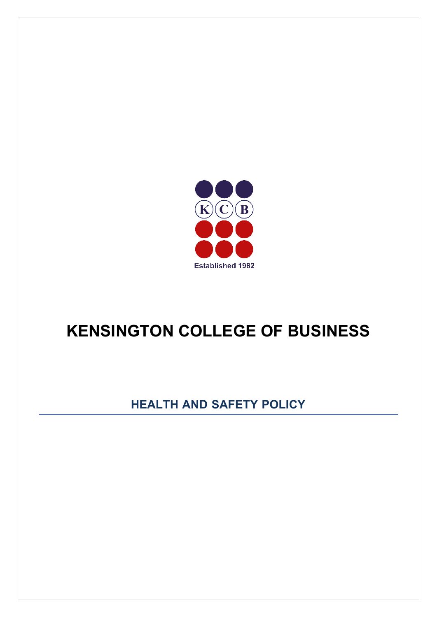

# **KENSINGTON COLLEGE OF BUSINESS**

## **HEALTH AND SAFETY POLICY**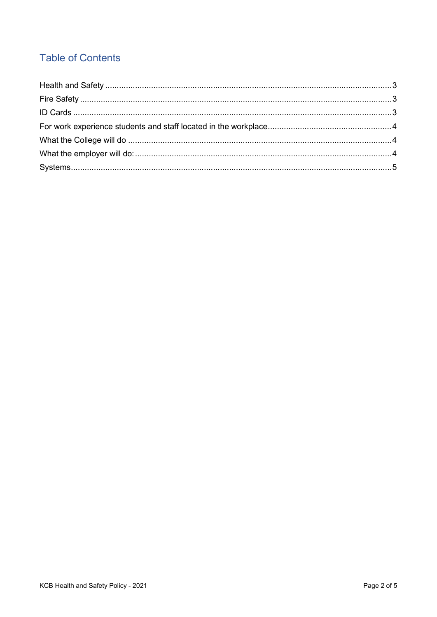### **Table of Contents**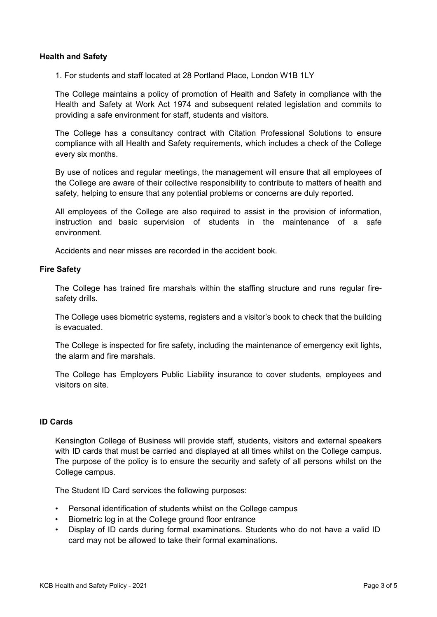#### <span id="page-2-0"></span>**Health and Safety**

1. For students and staff located at 28 Portland Place, London W1B 1LY

The College maintains a policy of promotion of Health and Safety in compliance with the Health and Safety at Work Act 1974 and subsequent related legislation and commits to providing a safe environment for staff, students and visitors.

The College has a consultancy contract with Citation Professional Solutions to ensure compliance with all Health and Safety requirements, which includes a check of the College every six months.

By use of notices and regular meetings, the management will ensure that all employees of the College are aware of their collective responsibility to contribute to matters of health and safety, helping to ensure that any potential problems or concerns are duly reported.

All employees of the College are also required to assist in the provision of information, instruction and basic supervision of students in the maintenance of a safe environment.

Accidents and near misses are recorded in the accident book.

#### <span id="page-2-1"></span>**Fire Safety**

The College has trained fire marshals within the staffing structure and runs regular firesafety drills.

The College uses biometric systems, registers and a visitor's book to check that the building is evacuated.

The College is inspected for fire safety, including the maintenance of emergency exit lights, the alarm and fire marshals.

The College has Employers Public Liability insurance to cover students, employees and visitors on site.

#### <span id="page-2-2"></span>**ID Cards**

Kensington College of Business will provide staff, students, visitors and external speakers with ID cards that must be carried and displayed at all times whilst on the College campus. The purpose of the policy is to ensure the security and safety of all persons whilst on the College campus.

The Student ID Card services the following purposes:

- Personal identification of students whilst on the College campus
- Biometric log in at the College ground floor entrance
- Display of ID cards during formal examinations. Students who do not have a valid ID card may not be allowed to take their formal examinations.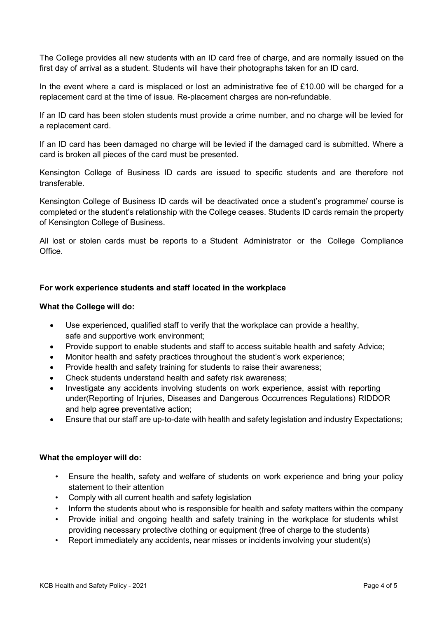The College provides all new students with an ID card free of charge, and are normally issued on the first day of arrival as a student. Students will have their photographs taken for an ID card.

In the event where a card is misplaced or lost an administrative fee of  $£10.00$  will be charged for a replacement card at the time of issue. Re-placement charges are non-refundable.

If an ID card has been stolen students must provide a crime number, and no charge will be levied for a replacement card.

If an ID card has been damaged no charge will be levied if the damaged card is submitted. Where a card is broken all pieces of the card must be presented.

Kensington College of Business ID cards are issued to specific students and are therefore not transferable.

Kensington College of Business ID cards will be deactivated once a student's programme/ course is completed or the student's relationship with the College ceases. Students ID cards remain the property of Kensington College of Business.

All lost or stolen cards must be reports to a Student Administrator or the College Compliance Office.

#### <span id="page-3-0"></span>**For work experience students and staff located in the workplace**

#### <span id="page-3-1"></span>**What the College will do:**

- Use experienced, qualified staff to verify that the workplace can provide a healthy, safe and supportive work environment;
- Provide support to enable students and staff to access suitable health and safety Advice;
- Monitor health and safety practices throughout the student's work experience;
- Provide health and safety training for students to raise their awareness;
- Check students understand health and safety risk awareness;
- Investigate any accidents involving students on work experience, assist with reporting under(Reporting of Injuries, Diseases and Dangerous Occurrences Regulations) RIDDOR and help agree preventative action;
- Ensure that our staff are up-to-date with health and safety legislation and industry Expectations;

#### <span id="page-3-2"></span>**What the employer will do:**

- Ensure the health, safety and welfare of students on work experience and bring your policy statement to their attention
- Comply with all current health and safety legislation
- Inform the students about who is responsible for health and safety matters within the company
- Provide initial and ongoing health and safety training in the workplace for students whilst providing necessary protective clothing or equipment (free of charge to the students)
- Report immediately any accidents, near misses or incidents involving your student(s)